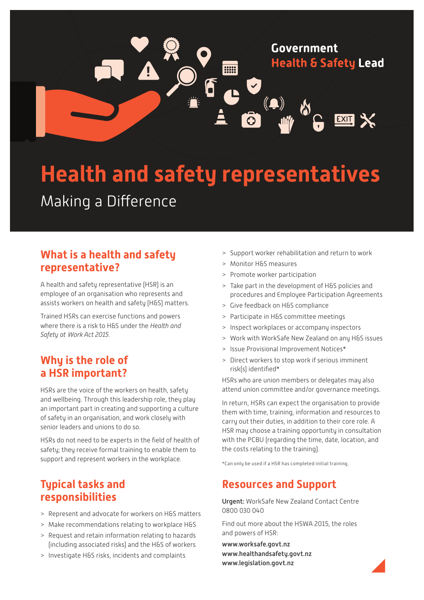

# **Health and safety representatives** Making a Difference

## **What is a health and safety representative?**

A health and safety representative (HSR) is an employee of an organisation who represents and assists workers on health and safety (H&S) matters.

Trained HSRs can exercise functions and powers where there is a risk to H&S under the *Health and Safety at* Work *Act 2015*.

## **Why is the role of a HSR important?**

HSRs are the voice of the workers on health, safety and wellbeing. Through this leadership role, they play an important part in creating and supporting a culture of safety in an organisation, and work closely with senior leaders and unions to do so.

HSRs do not need to be experts in the field of health of safety; they receive formal training to enable them to support and represent workers in the workplace.

## **Typical tasks and responsibilities**

- > Represent and advocate for workers on H&S matters
- > Make recommendations relating to workplace H&S
- > Request and retain information relating to hazards (including associated risks) and the H&S of workers
- > Investigate H&S risks, incidents and complaints
- > Support worker rehabilitation and return to work
- > Monitor H&S measures
- > Promote worker participation
- > Take part in the development of H&S policies and procedures and Employee Participation Agreements
- > Give feedback on H&S compliance
- > Participate in H&S committee meetings
- > Inspect workplaces or accompany inspectors
- > Work with WorkSafe New Zealand on any H&S issues
- > Issue Provisional Improvement Notices\*
- > Direct workers to stop work if serious imminent risk(s) identified\*

HSRs who are union members or delegates may also attend union committee and/or governance meetings.

In return, HSRs can expect the organisation to provide them with time, training, information and resources to carry out their duties, in addition to their core role. A HSR may choose a training opportunity in consultation with the PCBU (regarding the time, date, location, and the costs relating to the training).

\*Can only be used if a HSR has completed initial training.

## **Resources and Support**

Urgent: WorkSafe New Zealand Contact Centre 0800 030 040

Find out more about the HSWA 2015, the roles and powers of HSR:

[www.worksafe.govt.nz](http://www.worksafe.govt.nz) [www.healthandsafety.govt.nz](http://www.healthandsafety.govt.nz) www.legislation.govt.nz